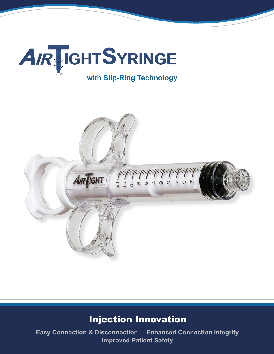

# **with Slip-Ring Technology**



# Injection Innovation

**Easy Connection & Disconnection | Enhanced Connection Integrity Improved Patient Safety**